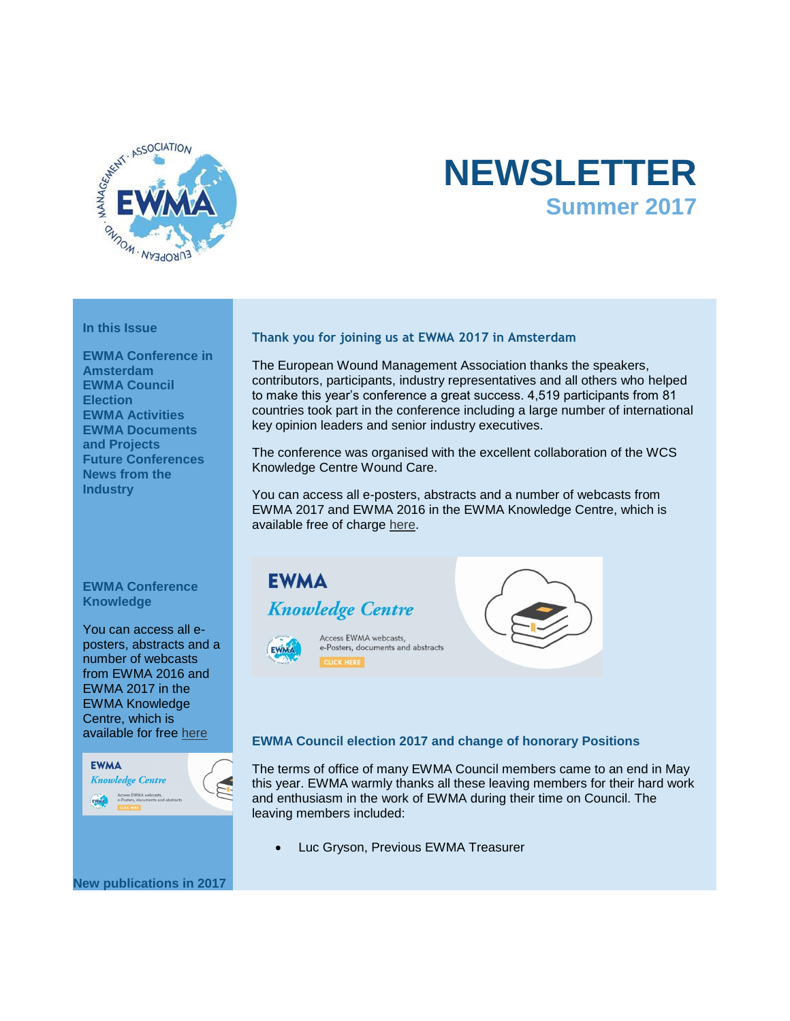

# **NEWSLETTER Summer 2017**

## **In this Issue**

**[EWMA Conference in](https://app.icontact.com/icp/core/message/preview/content/2066660#EWMA%20Conference%20Amsterdam)  [Amsterdam](https://app.icontact.com/icp/core/message/preview/content/2066660#EWMA%20Conference%20Amsterdam) [EWMA Council](https://app.icontact.com/icp/core/message/preview/content/2066660#CouncilElection)  [Election](https://app.icontact.com/icp/core/message/preview/content/2066660#CouncilElection) [EWMA Activities](https://app.icontact.com/icp/core/message/preview/content/2066660#EWMA2ACTIVITIES) [EWMA Documents](https://app.icontact.com/icp/core/message/preview/content/2066660#EWMADocandPro)  [and Projects](https://app.icontact.com/icp/core/message/preview/content/2066660#EWMADocandPro) [Future Conferences](https://app.icontact.com/icp/core/message/preview/content/2066660#FUTURECONFERENCES) [News from the](https://app.icontact.com/icp/core/message/preview/content/2066660#INDUSTRY)  [Industry](https://app.icontact.com/icp/core/message/preview/content/2066660#INDUSTRY)**

#### **EWMA Conference Knowledge**

You can access all eposters, abstracts and a number of webcasts from EWMA 2016 and EWMA 2017 in the EWMA Knowledge Centre, which is available for free [here](http://click.icptrack.com/icp/relay.php?r=&msgid=2066660&act=111111&c=614578&destination=http%3A%2F%2Fewma.conference2web.com%2F)



**Thank you for joining us at EWMA 2017 in Amsterdam**

The European Wound Management Association thanks the speakers, contributors, participants, industry representatives and all others who helped to make this year's conference a great success. 4,519 participants from 81 countries took part in the conference including a large number of international key opinion leaders and senior industry executives.

The conference was organised with the excellent collaboration of the WCS Knowledge Centre Wound Care.

You can access all e-posters, abstracts and a number of webcasts from EWMA 2017 and EWMA 2016 in the EWMA Knowledge Centre, which is available free of charge [here.](http://click.icptrack.com/icp/relay.php?r=&msgid=2066660&act=111111&c=614578&destination=http%3A%2F%2Fewma.conference2web.com%2F)



# **EWMA Council election 2017 and change of honorary Positions**

[Th](http://click.icptrack.com/icp/relay.php?r=&msgid=2066660&act=111111&c=614578&destination=http://ewma.conference2web.com/)e terms of office of many EWMA Council members came to an end in May this year. EWMA warmly thanks all these leaving members for their hard work and enthusiasm in the work of EWMA during their time on Council. The leaving members included:

Luc Gryson, Previous EWMA Treasurer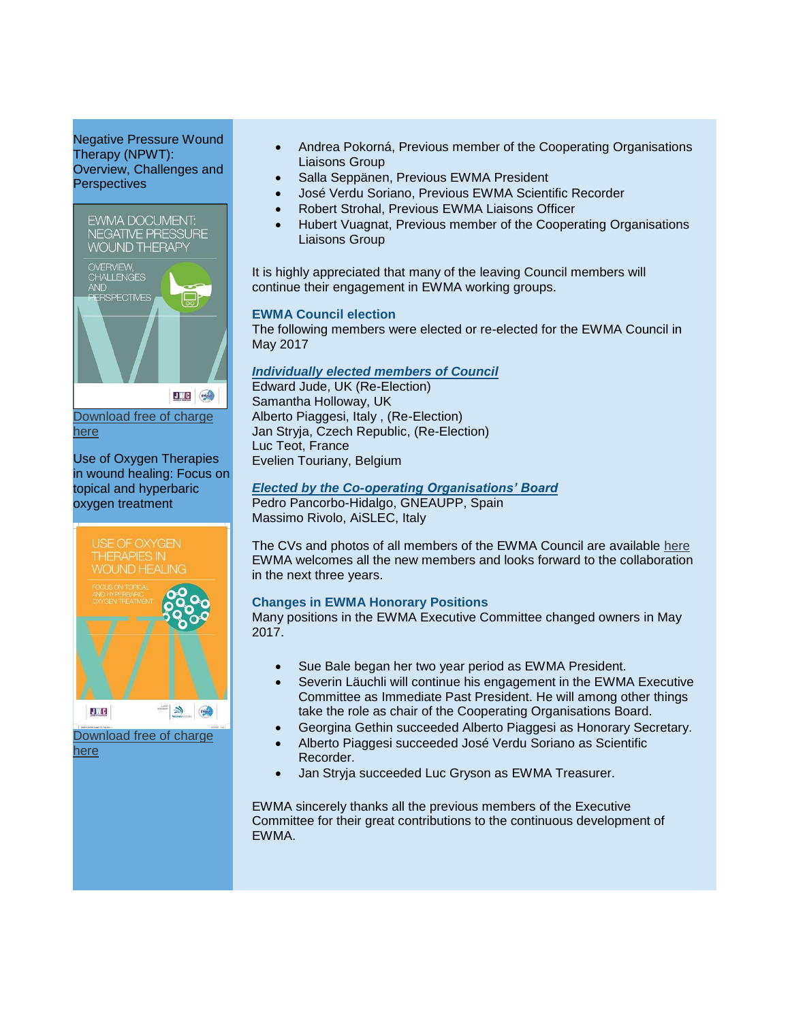# Negative Pressure Wound Therapy (NPWT): Overview, Challenges and **Perspectives**



Use of Oxygen Therapies in wound healing: Focus on topical and hyperbaric oxygen treatment



[Download free of charge](http://click.icptrack.com/icp/relay.php?r=&msgid=2066660&act=111111&c=614578&destination=http%3A%2F%2Fewma.org%2Fwhat-we-do%2Fewma-projects%2Fwe-are-currently-working-on%2Foxygen-therapies-guidance-document%2F)  [here](http://click.icptrack.com/icp/relay.php?r=&msgid=2066660&act=111111&c=614578&destination=http%3A%2F%2Fewma.org%2Fwhat-we-do%2Fewma-projects%2Fwe-are-currently-working-on%2Foxygen-therapies-guidance-document%2F)

- Andrea Pokorná, Previous member of the Cooperating Organisations Liaisons Group
- Salla Seppänen, Previous EWMA President
- José Verdu Soriano, Previous EWMA Scientific Recorder
- Robert Strohal, Previous EWMA Liaisons Officer
- Hubert Vuagnat, Previous member of the Cooperating Organisations Liaisons Group

It is highly appreciated that many of the leaving Council members will continue their engagement in EWMA working groups.

# **EWMA Council election**

The following members were elected or re-elected for the EWMA Council in May 2017

# *Individually elected members of Council*

Edward Jude, UK (Re-Election) Samantha Holloway, UK Alberto Piaggesi, Italy , (Re-Election) Jan Stryja, Czech Republic, (Re-Election) Luc Teot, France Evelien Touriany, Belgium

#### *Elected by the Co-operating Organisations' Board* Pedro Pancorbo-Hidalgo, GNEAUPP, Spain

Massimo Rivolo, AiSLEC, Italy

The CVs and photos of all members of the EWMA Council are available [here](http://click.icptrack.com/icp/relay.php?r=&msgid=2066660&act=111111&c=614578&destination=http%3A%2F%2Fewma.org%2Fabout-ewma%2Fcouncil%2F) EWMA welcomes all the new members and looks forward to the collaboration in the next three years.

# **Changes in EWMA Honorary Positions**

Many positions in the EWMA Executive Committee changed owners in May 2017.

- Sue Bale began her two year period as EWMA President.
- Severin Läuchli will continue his engagement in the EWMA Executive Committee as Immediate Past President. He will among other things take the role as chair of the Cooperating Organisations Board.
- Georgina Gethin succeeded Alberto Piaggesi as Honorary Secretary.
- Alberto Piaggesi succeeded José Verdu Soriano as Scientific Recorder.
- Jan Stryja succeeded Luc Gryson as EWMA Treasurer.

EWMA sincerely thanks all the previous members of the Executive Committee for their great contributions to the continuous development of EWMA.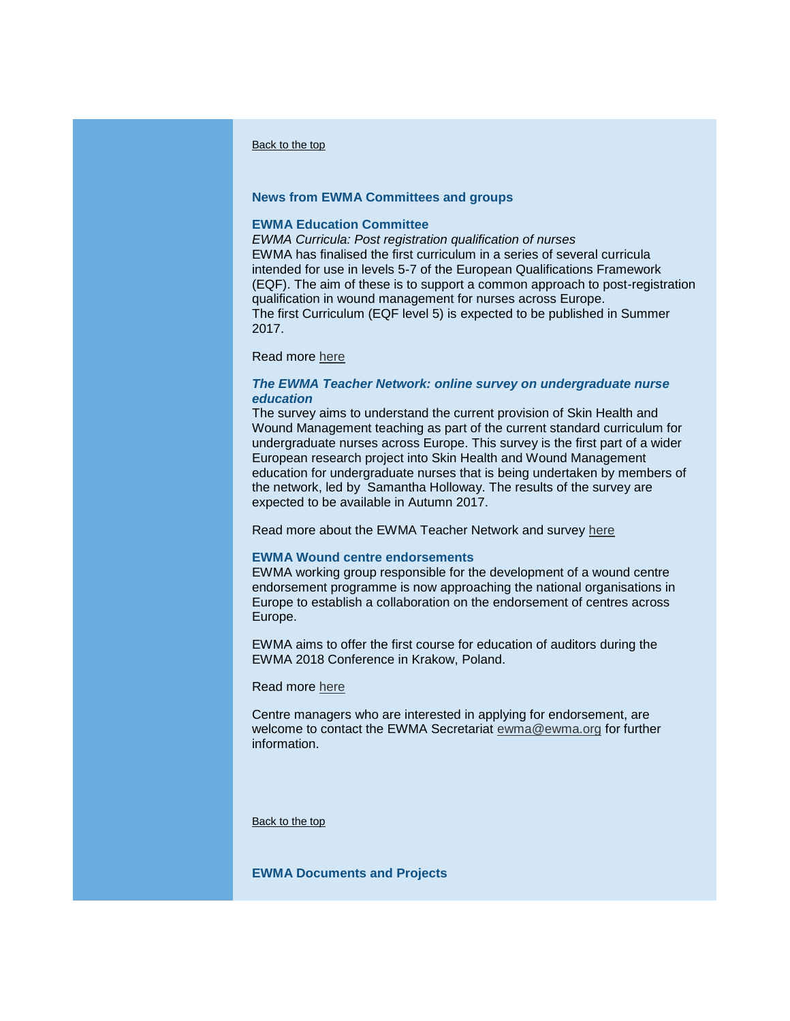#### [Back to the top](https://app.icontact.com/icp/core/message/preview/content/2066660#EWMAConference2014)

#### **News from EWMA Committees and groups**

#### **EWMA Education Committee**

*EWMA Curricula: Post registration qualification of nurses* EWMA has finalised the first curriculum in a series of several curricula intended for use in levels 5-7 of the European Qualifications Framework (EQF). The aim of these is to support a common approach to post-registration qualification in wound management for nurses across Europe. The first Curriculum (EQF level 5) is expected to be published in Summer 2017.

Read more [here](http://click.icptrack.com/icp/relay.php?r=&msgid=2066660&act=111111&c=614578&destination=http%3A%2F%2Fewma.org%2Fwhat-we-do%2Fewma-projects%2Fwe-are-currently-working-on%2Fwound-curriculum-post-registration-nurse-qualification%2F)

#### *The EWMA Teacher Network: online survey on undergraduate nurse education*

The survey aims to understand the current provision of Skin Health and Wound Management teaching as part of the current standard curriculum for undergraduate nurses across Europe. This survey is the first part of a wider European research project into Skin Health and Wound Management education for undergraduate nurses that is being undertaken by members of the network, led by Samantha Holloway. The results of the survey are expected to be available in Autumn 2017.

Read more about the EWMA Teacher Network and survey [here](http://click.icptrack.com/icp/relay.php?r=&msgid=2066660&act=111111&c=614578&destination=http%3A%2F%2Fewma.org%2Fwhat-we-do%2Feducation%2Fteacher-network%2F)

#### **EWMA Wound centre endorsements**

EWMA working group responsible for the development of a wound centre endorsement programme is now approaching the national organisations in Europe to establish a collaboration on the endorsement of centres across Europe.

EWMA aims to offer the first course for education of auditors during the EWMA 2018 Conference in Krakow, Poland.

### Read more [here](http://click.icptrack.com/icp/relay.php?r=&msgid=2066660&act=111111&c=614578&destination=http%3A%2F%2Fewma.org%2Fwhat-we-do%2Fcentre-endorsements%2F)

Centre managers who are interested in applying for endorsement, are welcome to contact the EWMA Secretariat [ewma@ewma.org](mailto:ewma@ewma.org) for further information.

[Back to the top](https://app.icontact.com/icp/core/message/preview/content/2066660#EWMAConference2014)

#### **EWMA Documents and Projects**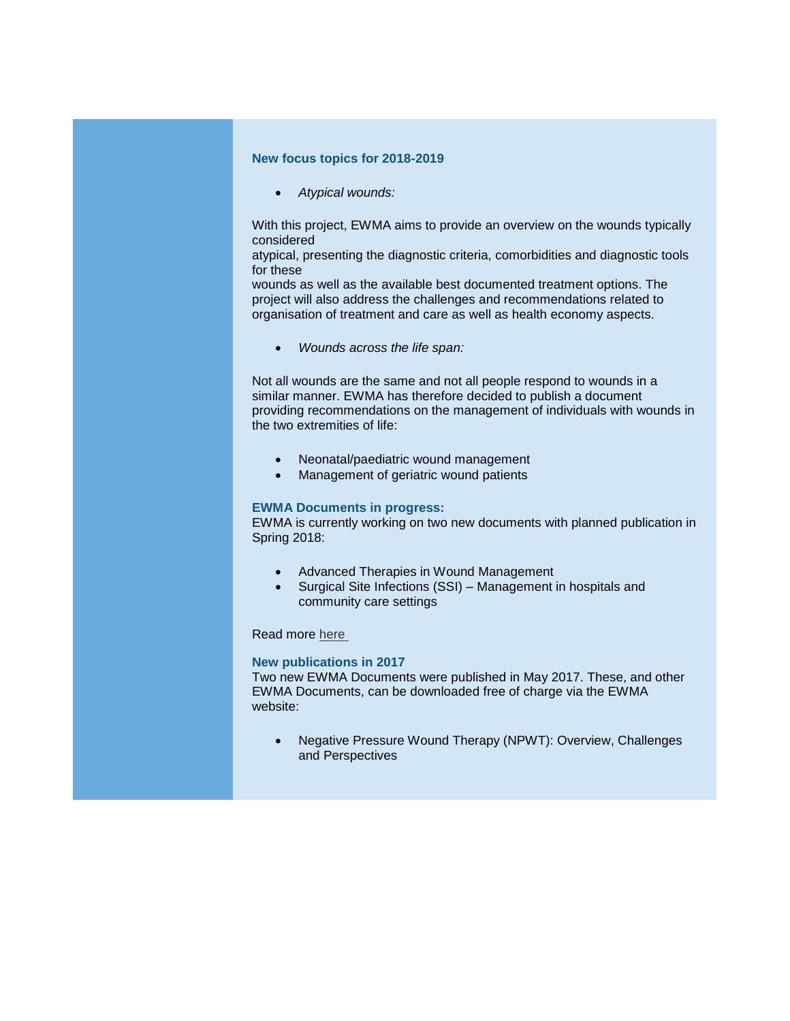#### **New focus topics for 2018-2019**

*Atypical wounds:*

With this project, EWMA aims to provide an overview on the wounds typically considered

atypical, presenting the diagnostic criteria, comorbidities and diagnostic tools for these

wounds as well as the available best documented treatment options. The project will also address the challenges and recommendations related to organisation of treatment and care as well as health economy aspects.

*Wounds across the life span:*

Not all wounds are the same and not all people respond to wounds in a similar manner. EWMA has therefore decided to publish a document providing recommendations on the management of individuals with wounds in the two extremities of life:

- Neonatal/paediatric wound management
- Management of geriatric wound patients

#### **EWMA Documents in progress:**

EWMA is currently working on two new documents with planned publication in Spring 2018:

- Advanced Therapies in Wound Management
- Surgical Site Infections (SSI) Management in hospitals and community care settings

#### Read more [here](http://click.icptrack.com/icp/relay.php?r=&msgid=2066660&act=111111&c=614578&destination=http%3A%2F%2Fewma.org%2Fresources%2Ffor-professionals%2Fewma-documents-and-joint-publications%2F)

#### **New publications in 2017**

Two new EWMA Documents were published in May 2017. These, and other EWMA Documents, can be downloaded free of charge via the EWMA website:

• Negative Pressure Wound Therapy (NPWT): Overview, Challenges and Perspectives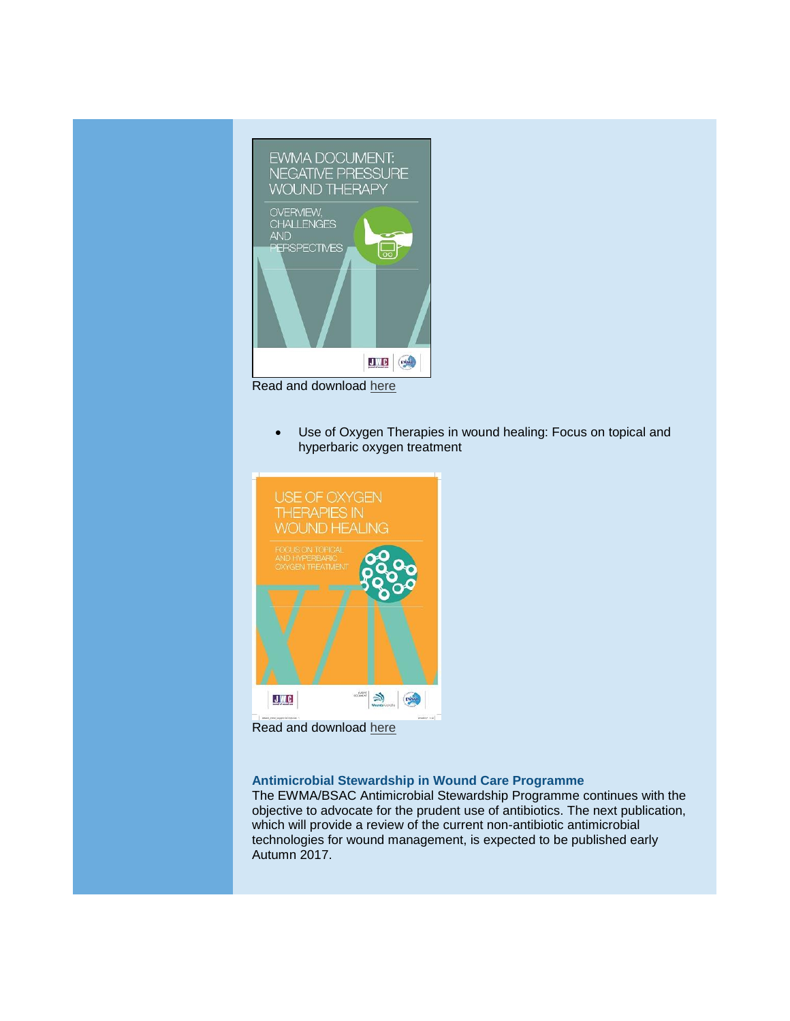

Read and download [here](http://click.icptrack.com/icp/relay.php?r=&msgid=2066660&act=111111&c=614578&destination=http%3A%2F%2Fewma.org%2Fwhat-we-do%2Fewma-projects%2Fwe-are-currently-working-on%2Fnpwt-guidance-document%2F) 

 Use of Oxygen Therapies in wound healing: Focus on topical and hyperbaric oxygen treatment



**Antimicrobial Stewardship in Wound Care Programme** The EWMA/BSAC Antimicrobial Stewardship Programme continues with the objective to advocate for the prudent use of antibiotics. The next publication, which will provide a review of the current non-antibiotic antimicrobial technologies for wound management, is expected to be published early Autumn 2017.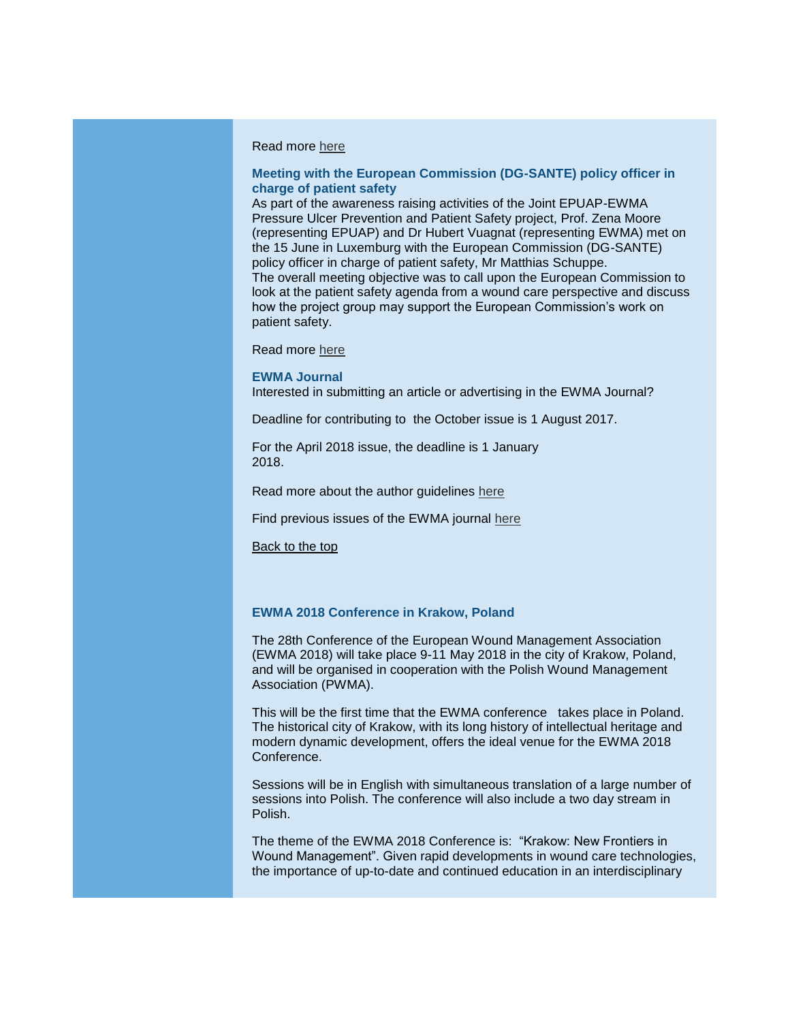#### Read more [here](http://click.icptrack.com/icp/relay.php?r=&msgid=2066660&act=111111&c=614578&destination=http%3A%2F%2Fewma.org%2Fwhat-we-do%2Fewma-projects%2Fwe-are-currently-working-on%2Fantimicrobial-stewardship%2F)

#### **Meeting with the European Commission (DG-SANTE) policy officer in charge of patient safety**

As part of the awareness raising activities of the Joint EPUAP-EWMA Pressure Ulcer Prevention and Patient Safety project, Prof. Zena Moore (representing EPUAP) and Dr Hubert Vuagnat (representing EWMA) met on the 15 June in Luxemburg with the European Commission (DG-SANTE) policy officer in charge of patient safety, Mr Matthias Schuppe. The overall meeting objective was to call upon the European Commission to look at the patient safety agenda from a wound care perspective and discuss how the project group may support the European Commission's work on patient safety.

Read more [here](http://click.icptrack.com/icp/relay.php?r=&msgid=2066660&act=111111&c=614578&destination=http%3A%2F%2Fewma.org%2Fewma-news-events%2Fnews-archive%2Fnews-detail%2F%3FnewsItemUid%3D4221%26cHash%3D2afdc51ab448cc979d101378f9a74599)

#### **EWMA Journal**

Interested in submitting an article or advertising in the EWMA Journal?

Deadline for contributing to the October issue is 1 August 2017.

For the April 2018 issue, the deadline is 1 January 2018.

Read more about the author guidelines [here](http://click.icptrack.com/icp/relay.php?r=&msgid=2066660&act=111111&c=614578&destination=http%3A%2F%2Fewma.org%2Fwhat-we-do%2Fewma-journal%2Fauthor-guidelines%2F)

Find previous issues of the EWMA journal [here](http://click.icptrack.com/icp/relay.php?r=&msgid=2066660&act=111111&c=614578&destination=http%3A%2F%2Fewma.org%2Fwhat-we-do%2Fewma-journal%2Fprevious-issues%2F)

[Back to the top](https://app.icontact.com/icp/core/message/preview/content/2066660#EWMAConference2014)

#### **EWMA 2018 Conference in Krakow, Poland**

The 28th Conference of the European Wound Management Association (EWMA 2018) will take place 9-11 May 2018 in the city of Krakow, Poland, and will be organised in cooperation with the Polish Wound Management Association (PWMA).

This will be the first time that the EWMA conference takes place in Poland. The historical city of Krakow, with its long history of intellectual heritage and modern dynamic development, offers the ideal venue for the EWMA 2018 **Conference** 

Sessions will be in English with simultaneous translation of a large number of sessions into Polish. The conference will also include a two day stream in Polish.

The theme of the EWMA 2018 Conference is: "Krakow: New Frontiers in Wound Management". Given rapid developments in wound care technologies, the importance of up-to-date and continued education in an interdisciplinary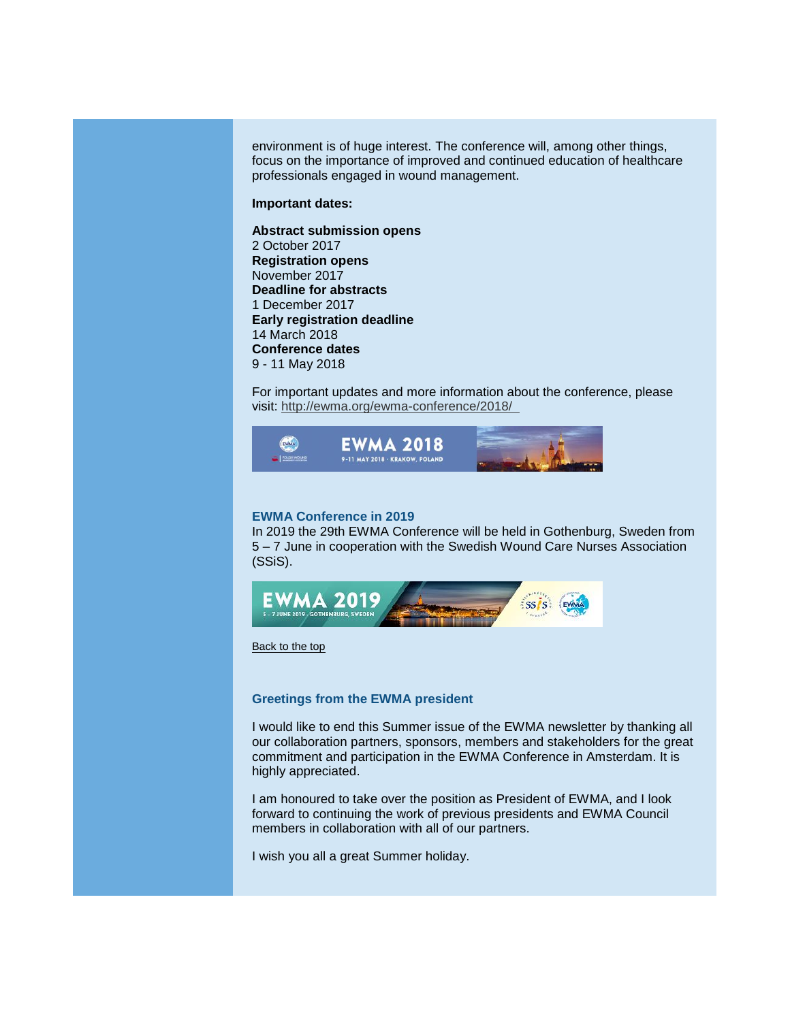environment is of huge interest. The conference will, among other things, focus on the importance of improved and continued education of healthcare professionals engaged in wound management.

#### **Important dates:**

**Abstract submission opens** 2 October 2017 **Registration opens** November 2017 **Deadline for abstracts** 1 December 2017 **Early registration deadline** 14 March 2018 **Conference dates** 9 - 11 May 2018

For important updates and more information about the conference, please visit: [http://ewma.org/ewma-conference/2018/](http://click.icptrack.com/icp/relay.php?r=&msgid=2066660&act=111111&c=614578&destination=http%3A%2F%2Fewma.org%2Fewma-conference%2F2018%2F) 



# **EWMA Conference in 2019**

In 2019 the 29th EWMA Conference will be held in Gothenburg, Sweden from 5 – 7 June in cooperation with the Swedish Wound Care Nurses Association (SSiS).



[Back to the top](https://app.icontact.com/icp/core/message/preview/content/2066660#EWMAConference2014)

### **Greetings from the EWMA president**

I would like to end this Summer issue of the EWMA newsletter by thanking all our collaboration partners, sponsors, members and stakeholders for the great commitment and participation in the EWMA Conference in Amsterdam. It is highly appreciated.

I am honoured to take over the position as President of EWMA, and I look forward to continuing the work of previous presidents and EWMA Council members in collaboration with all of our partners.

I wish you all a great Summer holiday.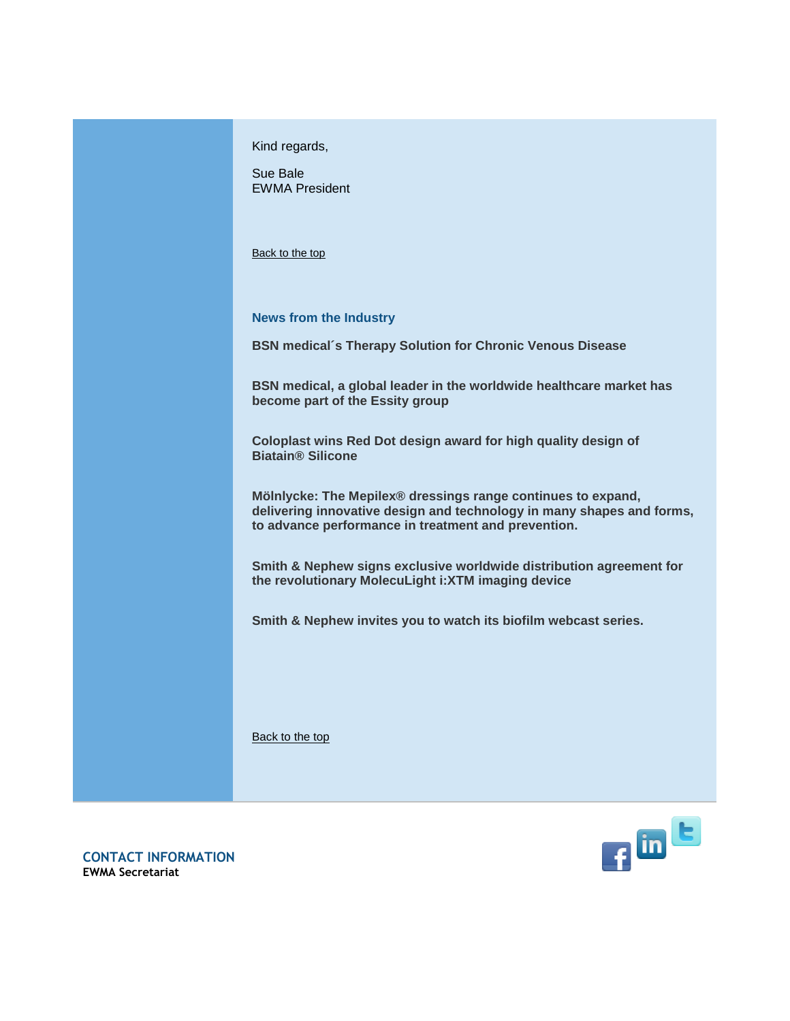| Kind regards,<br>Sue Bale                                                                                                                                                                    |
|----------------------------------------------------------------------------------------------------------------------------------------------------------------------------------------------|
| <b>EWMA President</b>                                                                                                                                                                        |
| Back to the top                                                                                                                                                                              |
| <b>News from the Industry</b>                                                                                                                                                                |
| <b>BSN medical's Therapy Solution for Chronic Venous Disease</b>                                                                                                                             |
| BSN medical, a global leader in the worldwide healthcare market has<br>become part of the Essity group                                                                                       |
| Coloplast wins Red Dot design award for high quality design of<br><b>Biatain® Silicone</b>                                                                                                   |
| Mölnlycke: The Mepilex® dressings range continues to expand,<br>delivering innovative design and technology in many shapes and forms,<br>to advance performance in treatment and prevention. |
| Smith & Nephew signs exclusive worldwide distribution agreement for<br>the revolutionary MolecuLight i: XTM imaging device                                                                   |
| Smith & Nephew invites you to watch its biofilm webcast series.                                                                                                                              |
|                                                                                                                                                                                              |
| Back to the top                                                                                                                                                                              |



**CONTACT INFORMATION EWMA Secretariat**